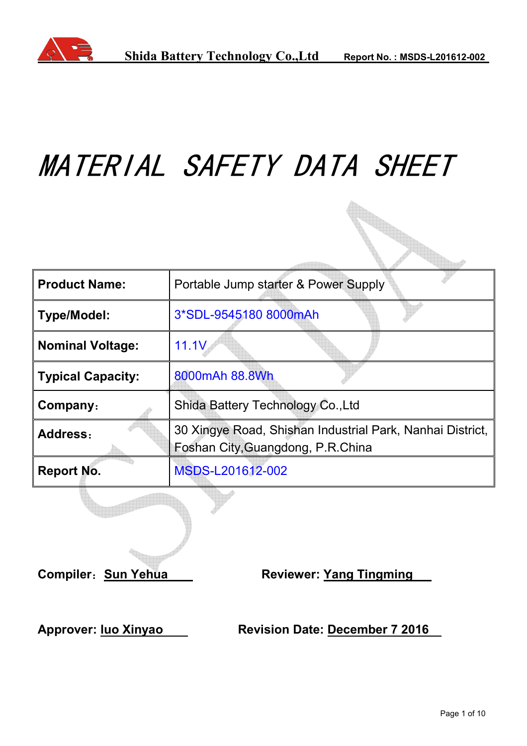

# MATERIAL SAFETY DATA SHEET

| <b>Product Name:</b>     | Portable Jump starter & Power Supply                                                           |  |
|--------------------------|------------------------------------------------------------------------------------------------|--|
| <b>Type/Model:</b>       | 3*SDL-9545180 8000mAh                                                                          |  |
| <b>Nominal Voltage:</b>  | 11.1V                                                                                          |  |
| <b>Typical Capacity:</b> | 8000mAh 88.8Wh                                                                                 |  |
| Company:                 | Shida Battery Technology Co., Ltd                                                              |  |
| Address:                 | 30 Xingye Road, Shishan Industrial Park, Nanhai District,<br>Foshan City, Guangdong, P.R.China |  |
| <b>Report No.</b>        | MSDS-L201612-002                                                                               |  |

**Compiler: Sun Yehua Manuel Reviewer: Yang Tingming** 

Approver: luo Xinyao Revision Date: December 7 2016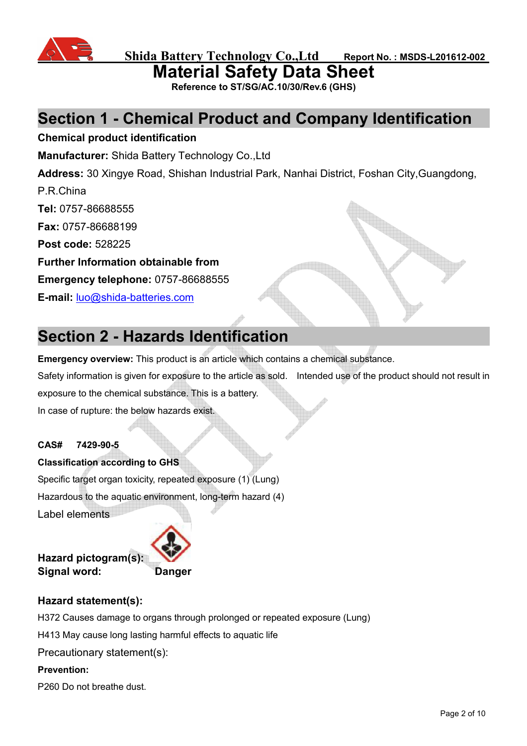

**Material Safety Data Sheet** 

**Reference to ST/SG/AC.10/30/Rev.6 (GHS)** 

# **Section 1 - Chemical Product and Company Identification**

#### **Chemical product identification**

**Manufacturer:** Shida Battery Technology Co.,Ltd

**Address:** 30 Xingye Road, Shishan Industrial Park, Nanhai District, Foshan City,Guangdong,

P.R.China

**Tel:** 0757-86688555

**Fax:** 0757-86688199

**Post code:** 528225

**Further Information obtainable from** 

**Emergency telephone:** 0757-86688555

**E-mail:** luo@shida-batteries.com

# **Section 2 - Hazards Identification**

**Emergency overview:** This product is an article which contains a chemical substance.

Safety information is given for exposure to the article as sold. Intended use of the product should not result in

exposure to the chemical substance. This is a battery.

In case of rupture: the below hazards exist.

#### **CAS# 7429-90-5**

**Classification according to GHS**  Specific target organ toxicity, repeated exposure (1) (Lung) Hazardous to the aquatic environment, long-term hazard (4) Label elements



# **Hazard statement(s):**

H372 Causes damage to organs through prolonged or repeated exposure (Lung)

H413 May cause long lasting harmful effects to aquatic life

Precautionary statement(s):

#### **Prevention:**

P260 Do not breathe dust.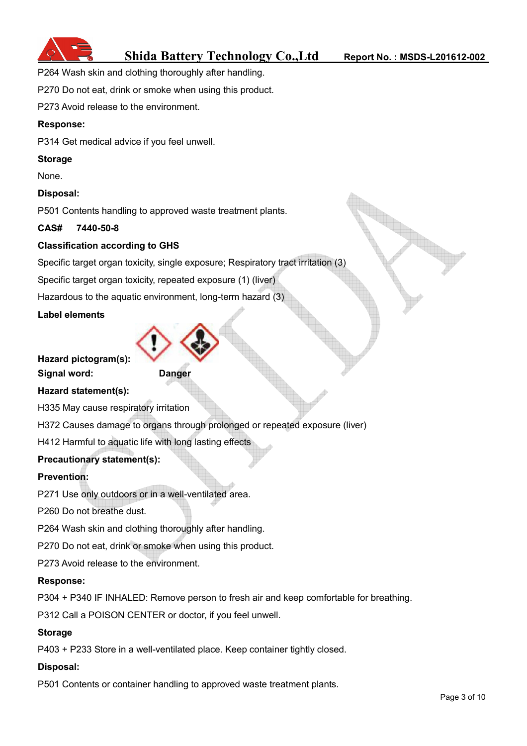

P264 Wash skin and clothing thoroughly after handling.

P270 Do not eat, drink or smoke when using this product.

P273 Avoid release to the environment.

#### **Response:**

P314 Get medical advice if you feel unwell.

#### **Storage**

None.

#### **Disposal:**

P501 Contents handling to approved waste treatment plants.

#### **CAS# 7440-50-8**

#### **Classification according to GHS**

Specific target organ toxicity, single exposure; Respiratory tract irritation (3)

Specific target organ toxicity, repeated exposure (1) (liver)

Hazardous to the aquatic environment, long-term hazard (3)

#### **Label elements**



**Signal word: Danger**



**Hazard statement(s):** 

H335 May cause respiratory irritation

H372 Causes damage to organs through prolonged or repeated exposure (liver)

H412 Harmful to aquatic life with long lasting effects

#### **Precautionary statement(s):**

#### **Prevention:**

P271 Use only outdoors or in a well-ventilated area.

P260 Do not breathe dust.

P264 Wash skin and clothing thoroughly after handling.

P270 Do not eat, drink or smoke when using this product.

P273 Avoid release to the environment.

#### **Response:**

P304 + P340 IF INHALED: Remove person to fresh air and keep comfortable for breathing.

P312 Call a POISON CENTER or doctor, if you feel unwell.

#### **Storage**

P403 + P233 Store in a well-ventilated place. Keep container tightly closed.

#### **Disposal:**

P501 Contents or container handling to approved waste treatment plants.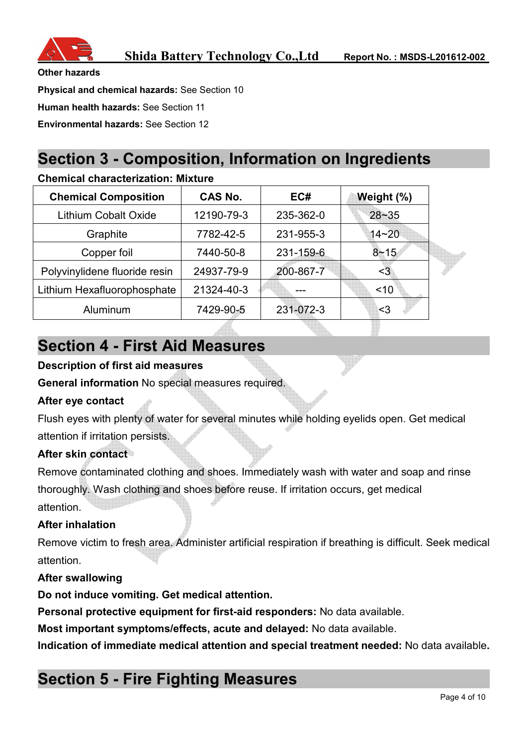

**Other hazards** 

**Physical and chemical hazards:** See Section 10

**Human health hazards:** See Section 11

**Environmental hazards:** See Section 12

# **Section 3 - Composition, Information on Ingredients**

#### **Chemical characterization: Mixture**

| <b>Chemical Composition</b>   | CAS No.    | EC#       | Weight (%) |  |
|-------------------------------|------------|-----------|------------|--|
| <b>Lithium Cobalt Oxide</b>   | 12190-79-3 | 235-362-0 | $28 - 35$  |  |
| Graphite                      | 7782-42-5  | 231-955-3 | $14 - 20$  |  |
| Copper foil                   | 7440-50-8  | 231-159-6 | $8 - 15$   |  |
| Polyvinylidene fluoride resin | 24937-79-9 | 200-867-7 | <3         |  |
| Lithium Hexafluorophosphate   | 21324-40-3 | ---       | ~10        |  |
| Aluminum                      | 7429-90-5  | 231-072-3 | <3         |  |

# **Section 4 - First Aid Measures**

#### **Description of first aid measures**

**General information** No special measures required.

#### **After eye contact**

Flush eyes with plenty of water for several minutes while holding eyelids open. Get medical attention if irritation persists.

#### **After skin contact**

Remove contaminated clothing and shoes. Immediately wash with water and soap and rinse thoroughly. Wash clothing and shoes before reuse. If irritation occurs, get medical attention.

#### **After inhalation**

Remove victim to fresh area. Administer artificial respiration if breathing is difficult. Seek medical attention.

#### **After swallowing**

**Do not induce vomiting. Get medical attention.** 

**Personal protective equipment for first-aid responders:** No data available.

**Most important symptoms/effects, acute and delayed:** No data available.

**Indication of immediate medical attention and special treatment needed:** No data available**.** 

# **Section 5 - Fire Fighting Measures**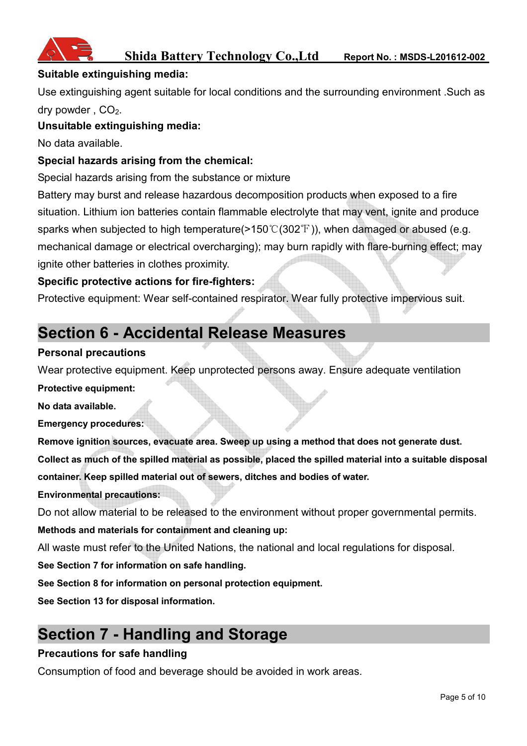

#### **Suitable extinguishing media:**

Use extinguishing agent suitable for local conditions and the surrounding environment .Such as dry powder,  $CO<sub>2</sub>$ .

#### **Unsuitable extinguishing media:**

No data available.

#### **Special hazards arising from the chemical:**

Special hazards arising from the substance or mixture

Battery may burst and release hazardous decomposition products when exposed to a fire situation. Lithium ion batteries contain flammable electrolyte that may vent, ignite and produce sparks when subjected to high temperature( $>150^{\circ}$  (302°F)), when damaged or abused (e.g. mechanical damage or electrical overcharging); may burn rapidly with flare-burning effect; may ignite other batteries in clothes proximity.

#### **Specific protective actions for fire-fighters:**

Protective equipment: Wear self-contained respirator. Wear fully protective impervious suit.

# **Section 6 - Accidental Release Measures**

#### **Personal precautions**

Wear protective equipment. Keep unprotected persons away. Ensure adequate ventilation

**Protective equipment:** 

**No data available.** 

**Emergency procedures:** 

**Remove ignition sources, evacuate area. Sweep up using a method that does not generate dust. Collect as much of the spilled material as possible, placed the spilled material into a suitable disposal container. Keep spilled material out of sewers, ditches and bodies of water.** 

#### **Environmental precautions:**

Do not allow material to be released to the environment without proper governmental permits.

#### **Methods and materials for containment and cleaning up:**

All waste must refer to the United Nations, the national and local regulations for disposal.

**See Section 7 for information on safe handling.** 

**See Section 8 for information on personal protection equipment.** 

**See Section 13 for disposal information.** 

# **Section 7 - Handling and Storage**

#### **Precautions for safe handling**

Consumption of food and beverage should be avoided in work areas.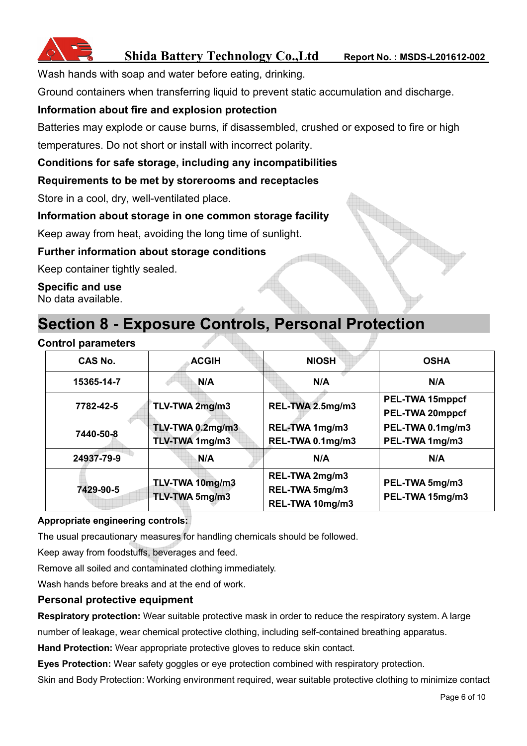

Wash hands with soap and water before eating, drinking.

Ground containers when transferring liquid to prevent static accumulation and discharge.

#### **Information about fire and explosion protection**

Batteries may explode or cause burns, if disassembled, crushed or exposed to fire or high temperatures. Do not short or install with incorrect polarity.

#### **Conditions for safe storage, including any incompatibilities**

#### **Requirements to be met by storerooms and receptacles**

Store in a cool, dry, well-ventilated place.

#### **Information about storage in one common storage facility**

Keep away from heat, avoiding the long time of sunlight.

#### **Further information about storage conditions**

Keep container tightly sealed.

**Specific and use**  No data available.

### **Section 8 - Exposure Controls, Personal Protection**

#### **Control parameters**

| CAS No.    | <b>ACGIH</b>                       | <b>NIOSH</b>                                        |                                    |
|------------|------------------------------------|-----------------------------------------------------|------------------------------------|
| 15365-14-7 | N/A<br>N/A                         |                                                     | N/A                                |
| 7782-42-5  | TLV-TWA 2mg/m3                     | REL-TWA 2.5mg/m3                                    | PEL-TWA 15mppcf<br>PEL-TWA 20mppcf |
| 7440-50-8  | TLV-TWA 0.2mg/m3<br>TLV-TWA 1mg/m3 | REL-TWA 1mg/m3<br>REL-TWA 0.1mg/m3                  | PEL-TWA 0.1mg/m3<br>PEL-TWA 1mg/m3 |
| 24937-79-9 | N/A                                |                                                     | N/A                                |
| 7429-90-5  | TLV-TWA 10mg/m3<br>TLV-TWA 5mg/m3  | REL-TWA 2mg/m3<br>REL-TWA 5mg/m3<br>REL-TWA 10mg/m3 | PEL-TWA 5mg/m3<br>PEL-TWA 15mg/m3  |

#### **Appropriate engineering controls:**

The usual precautionary measures for handling chemicals should be followed.

Keep away from foodstuffs, beverages and feed.

Remove all soiled and contaminated clothing immediately.

Wash hands before breaks and at the end of work.

#### **Personal protective equipment**

**Respiratory protection:** Wear suitable protective mask in order to reduce the respiratory system. A large number of leakage, wear chemical protective clothing, including self-contained breathing apparatus.

**Hand Protection:** Wear appropriate protective gloves to reduce skin contact.

**Eyes Protection:** Wear safety goggles or eye protection combined with respiratory protection.

Skin and Body Protection: Working environment required, wear suitable protective clothing to minimize contact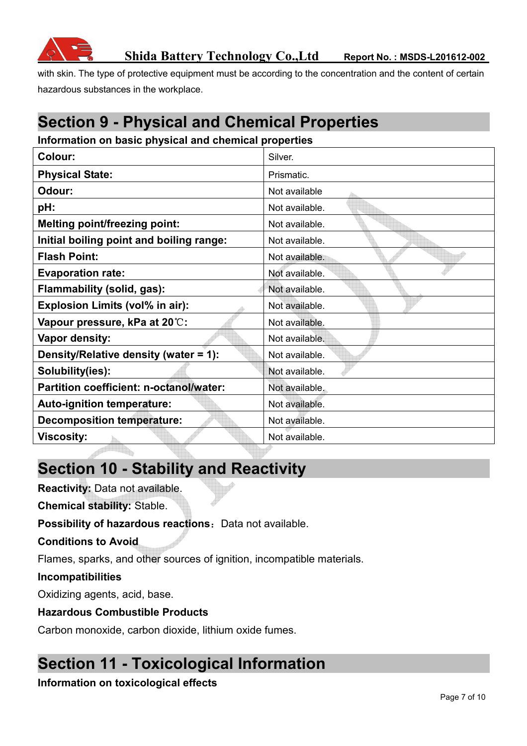

with skin. The type of protective equipment must be according to the concentration and the content of certain hazardous substances in the workplace.

# **Section 9 - Physical and Chemical Properties**

#### **Information on basic physical and chemical properties**

| Colour:                                        | Silver.        |
|------------------------------------------------|----------------|
| <b>Physical State:</b>                         | Prismatic.     |
| Odour:                                         | Not available  |
| pH:                                            | Not available. |
| <b>Melting point/freezing point:</b>           | Not available. |
| Initial boiling point and boiling range:       | Not available. |
| <b>Flash Point:</b>                            | Not available. |
| <b>Evaporation rate:</b>                       | Not available. |
| Flammability (solid, gas):                     | Not available. |
| <b>Explosion Limits (vol% in air):</b>         | Not available. |
| Vapour pressure, kPa at 20°C:                  | Not available. |
| Vapor density:                                 | Not available. |
| Density/Relative density (water = 1):          | Not available. |
| Solubility(ies):                               | Not available. |
| <b>Partition coefficient: n-octanol/water:</b> | Not available. |
| Auto-ignition temperature:                     | Not available. |
| <b>Decomposition temperature:</b>              | Not available. |
| <b>Viscosity:</b>                              | Not available. |

# **Section 10 - Stability and Reactivity**

**Reactivity:** Data not available.

**Chemical stability:** Stable.

**Possibility of hazardous reactions:** Data not available.

**Conditions to Avoid** 

Flames, sparks, and other sources of ignition, incompatible materials.

#### **Incompatibilities**

Oxidizing agents, acid, base.

#### **Hazardous Combustible Products**

Carbon monoxide, carbon dioxide, lithium oxide fumes.

# **Section 11 - Toxicological Information**

#### **Information on toxicological effects**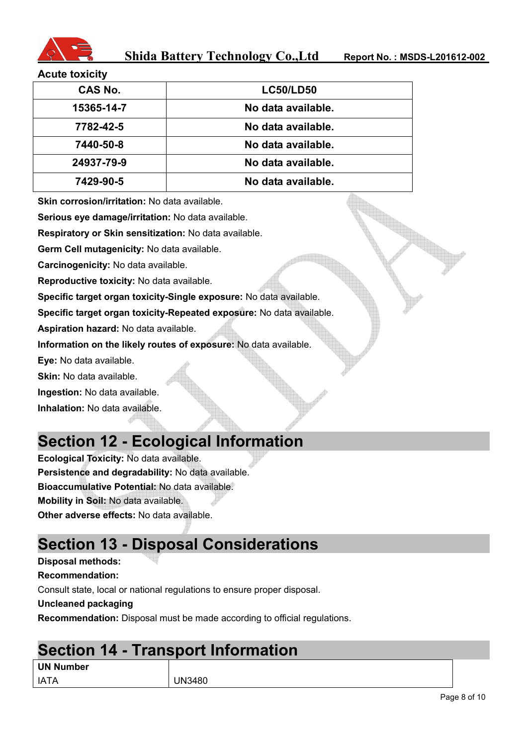

#### **Acute toxicity**

| <b>CAS No.</b> | <b>LC50/LD50</b>   |
|----------------|--------------------|
| 15365-14-7     | No data available. |
| 7782-42-5      | No data available. |
| 7440-50-8      | No data available. |
| 24937-79-9     | No data available. |
| 7429-90-5      | No data available. |
|                |                    |

**Skin corrosion/irritation:** No data available.

**Serious eye damage/irritation:** No data available.

**Respiratory or Skin sensitization:** No data available.

**Germ Cell mutagenicity:** No data available.

**Carcinogenicity:** No data available.

**Reproductive toxicity:** No data available.

**Specific target organ toxicity-Single exposure:** No data available.

**Specific target organ toxicity-Repeated exposure:** No data available.

**Aspiration hazard:** No data available.

**Information on the likely routes of exposure:** No data available.

**Eye:** No data available.

**Skin:** No data available.

**Ingestion:** No data available.

**Inhalation:** No data available.

### **Section 12 - Ecological Information**

**Ecological Toxicity:** No data available. **Persistence and degradability:** No data available. **Bioaccumulative Potential:** No data available. **Mobility in Soil:** No data available. **Other adverse effects:** No data available.

# **Section 13 - Disposal Considerations**

**Disposal methods:** 

**Recommendation:** 

Consult state, local or national regulations to ensure proper disposal.

**Uncleaned packaging** 

**Recommendation:** Disposal must be made according to official regulations.

### **Section 14 - Transport Information**

| <b>UN Number</b> |  |
|------------------|--|
|                  |  |

IATA UN3480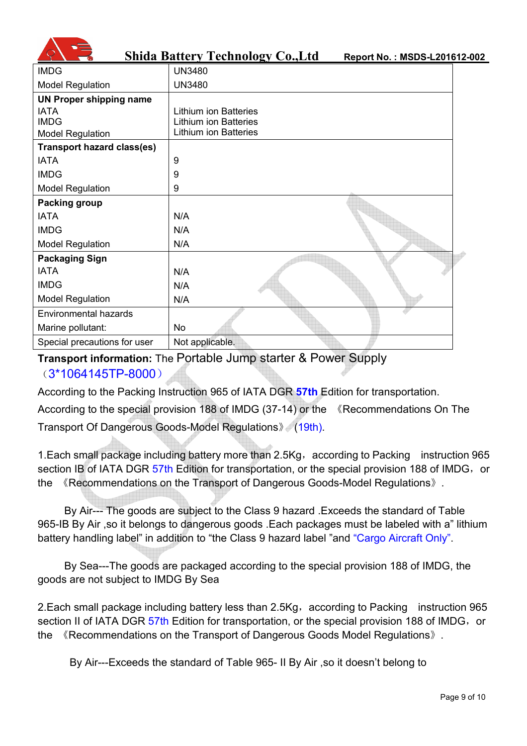|                                   | <b>Shida Battery Technology Co., Ltd</b><br>Report No.: MSDS-L201612-002 |
|-----------------------------------|--------------------------------------------------------------------------|
| <b>IMDG</b>                       | <b>UN3480</b>                                                            |
| <b>Model Regulation</b>           | <b>UN3480</b>                                                            |
| <b>UN Proper shipping name</b>    |                                                                          |
| <b>IATA</b>                       | <b>Lithium ion Batteries</b>                                             |
| <b>IMDG</b>                       | <b>Lithium ion Batteries</b><br><b>Lithium ion Batteries</b>             |
| <b>Model Regulation</b>           |                                                                          |
| <b>Transport hazard class(es)</b> |                                                                          |
| <b>IATA</b>                       | 9                                                                        |
| <b>IMDG</b>                       | 9                                                                        |
| <b>Model Regulation</b>           | 9                                                                        |
| Packing group                     |                                                                          |
| <b>IATA</b>                       | N/A                                                                      |
| <b>IMDG</b>                       | N/A                                                                      |
| <b>Model Regulation</b>           | N/A                                                                      |
| <b>Packaging Sign</b>             |                                                                          |
| <b>IATA</b>                       | N/A                                                                      |
| <b>IMDG</b>                       | N/A                                                                      |
| <b>Model Regulation</b>           | N/A                                                                      |
| Environmental hazards             |                                                                          |
| Marine pollutant:                 | No                                                                       |
| Special precautions for user      | Not applicable.                                                          |

#### **Transport information:** The Portable Jump starter & Power Supply (3\*1064145TP-8000)

According to the Packing Instruction 965 of IATA DGR **57th** Edition for transportation.

According to the special provision 188 of IMDG (37-14) or the 《Recommendations On The Transport Of Dangerous Goods-Model Regulations》 (19th).

1. Each small package including battery more than 2.5Kg, according to Packing instruction 965 section IB of IATA DGR 57th Edition for transportation, or the special provision 188 of IMDG, or the 《Recommendations on the Transport of Dangerous Goods-Model Regulations》.

By Air--- The goods are subject to the Class 9 hazard .Exceeds the standard of Table 965-IB By Air ,so it belongs to dangerous goods .Each packages must be labeled with a" lithium battery handling label" in addition to "the Class 9 hazard label "and "Cargo Aircraft Only".

By Sea---The goods are packaged according to the special provision 188 of IMDG, the goods are not subject to IMDG By Sea

2. Each small package including battery less than 2.5Kg, according to Packing instruction 965 section II of IATA DGR 57th Edition for transportation, or the special provision 188 of IMDG, or the 《Recommendations on the Transport of Dangerous Goods Model Regulations》.

By Air---Exceeds the standard of Table 965- II By Air ,so it doesn't belong to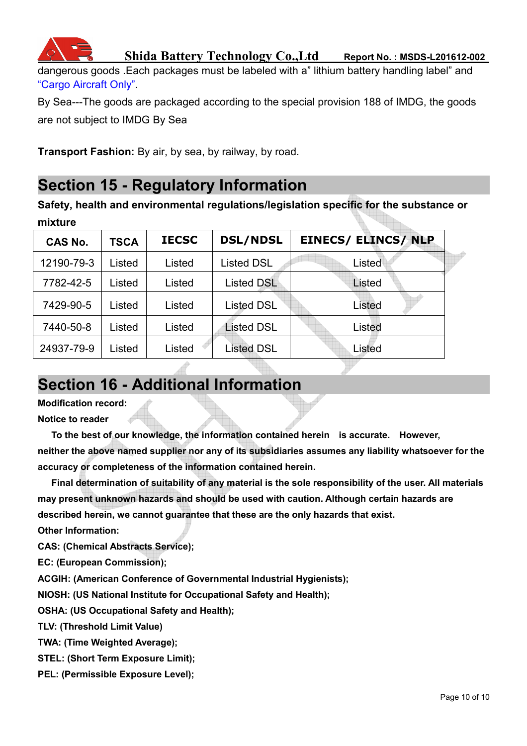

dangerous goods .Each packages must be labeled with a" lithium battery handling label" and "Cargo Aircraft Only".

By Sea---The goods are packaged according to the special provision 188 of IMDG, the goods are not subject to IMDG By Sea

**Transport Fashion:** By air, by sea, by railway, by road.

### **Section 15 - Regulatory Information**

**Safety, health and environmental regulations/legislation specific for the substance or mixture** 

|        | <b>DSL/NDSL</b>                                               | <b>EINECS/ ELINCS/ NLP</b> |
|--------|---------------------------------------------------------------|----------------------------|
|        | <b>Listed DSL</b>                                             | Listed                     |
| Listed | <b>Listed DSL</b>                                             | Listed                     |
| Listed | <b>Listed DSL</b>                                             | Listed                     |
| Listed | <b>Listed DSL</b>                                             | Listed                     |
| Listed | <b>Listed DSL</b>                                             | Listed                     |
|        | <b>TSCA</b><br>Listed<br>Listed<br>Listed<br>Listed<br>Listed | <b>IECSC</b><br>Listed     |

### **Section 16 - Additional Information**

**Modification record:** 

**Notice to reader** 

**To the best of our knowledge, the information contained herein is accurate. However, neither the above named supplier nor any of its subsidiaries assumes any liability whatsoever for the accuracy or completeness of the information contained herein.** 

**Final determination of suitability of any material is the sole responsibility of the user. All materials may present unknown hazards and should be used with caution. Although certain hazards are described herein, we cannot guarantee that these are the only hazards that exist.** 

**Other Information:** 

**CAS: (Chemical Abstracts Service);** 

**EC: (European Commission);** 

**ACGIH: (American Conference of Governmental Industrial Hygienists);** 

**NIOSH: (US National Institute for Occupational Safety and Health);** 

**OSHA: (US Occupational Safety and Health);** 

**TLV: (Threshold Limit Value)** 

**TWA: (Time Weighted Average);** 

**STEL: (Short Term Exposure Limit);** 

**PEL: (Permissible Exposure Level);**